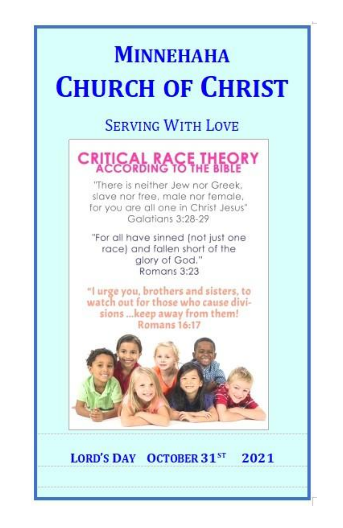

#### **LORD'S DAY OCTOBER 31ST** 2021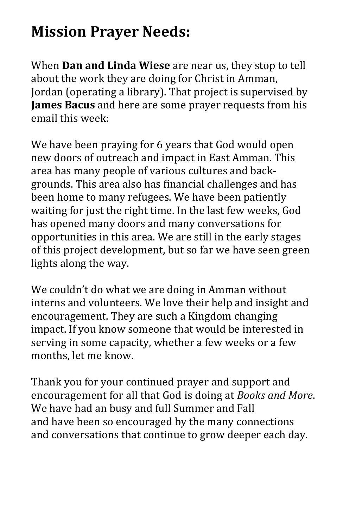# **Mission Prayer Needs:**

When **Dan and Linda Wiese** are near us, they stop to tell about the work they are doing for Christ in Amman, Jordan (operating a library). That project is supervised by **James Bacus** and here are some prayer requests from his email this week:

We have been praying for 6 years that God would open new doors of outreach and impact in East Amman. This area has many people of various cultures and back grounds. This area also has financial challenges and has been home to many refugees. We have been patiently waiting for just the right time. In the last few weeks, God has opened many doors and many conversations for opportunities in this area. We are still in the early stages of this project development, but so far we have seen green lights along the way.

We couldn't do what we are doing in Amman without interns and volunteers. We love their help and insight and encouragement. They are such a Kingdom changing impact. If you know someone that would be interested in serving in some capacity, whether a few weeks or a few months, let me know.

Thank you for your continued prayer and support and encouragement for all that God is doing at *Books and More*. We have had an busy and full Summer and Fall and have been so encouraged by the many connections and conversations that continue to grow deeper each day.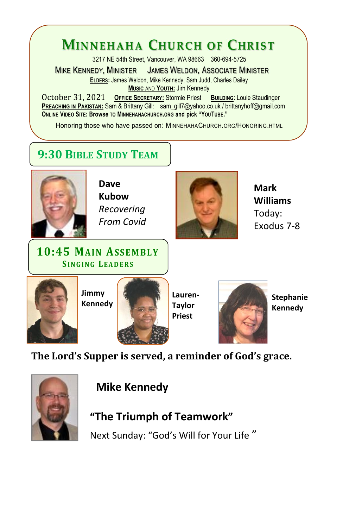## **MINNEHAHA CHURCH OF CHRIST**

3217 NE 54th Street, Vancouver, WA 98663 360-694-5725

**MIKE KENNEDY, MINISTER JAMES WELDON, ASSOCIATE MINISTER ELDERS:** James Weldon, Mike Kennedy, Sam Judd, Charles Dailey **MUSIC** AND **YOUTH:** Jim Kennedy

October 31, 2021 OFFICE SECRETARY: Stormie Priest BUILDING: Louie Staudinger<br>
PREACHING IN PAKISTAN: Sam & Brittany Gill: sam\_gill7@yahoo.co.uk / brittanyhoff@gmail.com **ONLINE VIDEO SITE: Browse TO MINNEHAHACHURCH.ORG and pick "YOUTUBE."**

Honoring those who have passed on: MINNEHAHACHURCH.ORG/HONORING.HTML

### **9:30 BIBLESTUDY TEAM**



**Dave Kubow** *Recovering From Covid*



**Mark Williams** Today: Exodus 7-8

#### **10:45 MAIN ASSEMBLY SINGING L EAD ERS**



**Jimmy Kennedy**



**Lauren- Taylor Priest**



**Stephanie Kennedy**

**The Lord's Supper is served, a reminder of God's grace.**



**Mike Kennedy**

# **"The Triumph of Teamwork"**

Next Sunday: "God's Will for Your Life "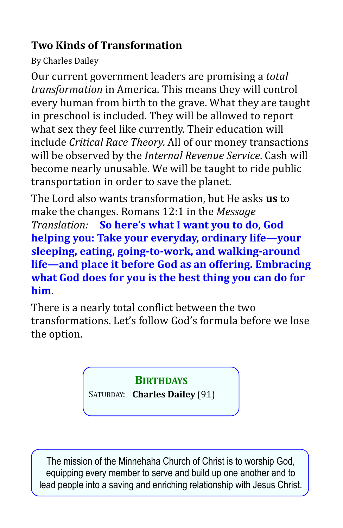### **Two Kinds of Transformation**

By Charles Dailey

Our current government leaders are promising a *total transformation* in America. This means they will control every human from birth to the grave. What they are taught in preschool is included. They will be allowed to report what sex they feel like currently. Their education will include *Critical Race Theory.* All of our money transactions will be observed by the *Internal Revenue Service*. Cash will become nearly unusable. We will be taught to ride public transportation in order to save the planet.

The Lord also wants transformation, but He asks **us** to make the changes. Romans 12:1 in the *Message*<br>Translation: **So here's what I want you to do** *Translation:* **So here's what I want you to do, God helping you: Take your everyday, ordinary life—your sleeping, eating, going-to-work, and walking-around life—and place it before God as an offering. Embracing what God does for you is the best thing you can do for him**.

There is a nearly total conflict between the two transformations. Let's follow God's formula before we lose the option.

### **BIRTHDAYS**

SATURDAY: **Charles Dailey** (91)

The mission of the Minnehaha Church of Christ is to worship God, equipping every member to serve and build up one another and to lead people into a saving and enriching relationship with Jesus Christ.